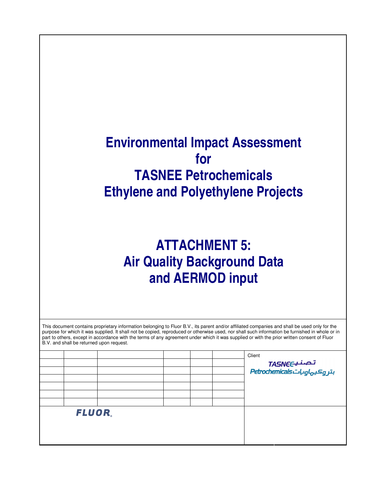## **Environmental Impact Assessment for TASNEE Petrochemicals Ethylene and Polyethylene Projects**

# **ATTACHMENT 5: Air Quality Background Data and AERMOD input**

| This document contains proprietary information belonging to Fluor B.V., its parent and/or affiliated companies and shall be used only for the<br>purpose for which it was supplied. It shall not be copied, reproduced or otherwise used, nor shall such information be furnished in whole or in<br>part to others, except in accordance with the terms of any agreement under which it was supplied or with the prior written consent of Fluor<br>B.V. and shall be returned upon request.<br>Client<br>تصنیےTASNEC<br>بتر ہ2یہاویاتTretrochemicals<br>FLUOR. |  |  |
|----------------------------------------------------------------------------------------------------------------------------------------------------------------------------------------------------------------------------------------------------------------------------------------------------------------------------------------------------------------------------------------------------------------------------------------------------------------------------------------------------------------------------------------------------------------|--|--|
|                                                                                                                                                                                                                                                                                                                                                                                                                                                                                                                                                                |  |  |
|                                                                                                                                                                                                                                                                                                                                                                                                                                                                                                                                                                |  |  |
|                                                                                                                                                                                                                                                                                                                                                                                                                                                                                                                                                                |  |  |
|                                                                                                                                                                                                                                                                                                                                                                                                                                                                                                                                                                |  |  |
|                                                                                                                                                                                                                                                                                                                                                                                                                                                                                                                                                                |  |  |
|                                                                                                                                                                                                                                                                                                                                                                                                                                                                                                                                                                |  |  |
|                                                                                                                                                                                                                                                                                                                                                                                                                                                                                                                                                                |  |  |
|                                                                                                                                                                                                                                                                                                                                                                                                                                                                                                                                                                |  |  |
|                                                                                                                                                                                                                                                                                                                                                                                                                                                                                                                                                                |  |  |
|                                                                                                                                                                                                                                                                                                                                                                                                                                                                                                                                                                |  |  |
|                                                                                                                                                                                                                                                                                                                                                                                                                                                                                                                                                                |  |  |
|                                                                                                                                                                                                                                                                                                                                                                                                                                                                                                                                                                |  |  |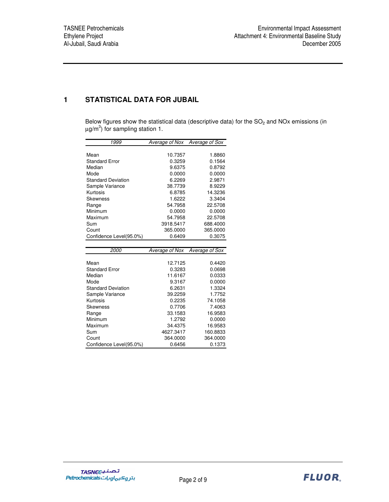## **1 STATISTICAL DATA FOR JUBAIL**

Below figures show the statistical data (descriptive data) for the  $SO<sub>2</sub>$  and NOx emissions (in  $\mu$ g/m $^3$ ) for sampling station 1.

| 1999                      | Average of Nox | Average of Sox |
|---------------------------|----------------|----------------|
|                           |                |                |
| Mean                      | 10.7357        | 1.8860         |
| <b>Standard Error</b>     | 0.3259         | 0.1564         |
| Median                    | 9.6375         | 0.8792         |
| Mode                      | 0.0000         | 0.0000         |
| <b>Standard Deviation</b> | 6.2269         | 2.9871         |
| Sample Variance           | 38.7739        | 8.9229         |
| Kurtosis                  | 6.8785         | 14.3236        |
| Skewness                  | 1.6222         | 3.3404         |
| Range                     | 54.7958        | 22.5708        |
| Minimum                   | 0.0000         | 0.0000         |
| Maximum                   | 54.7958        | 22.5708        |
| Sum                       | 3918.5417      | 688.4000       |
| Count                     | 365.0000       | 365.0000       |
| Confidence Level(95.0%)   | 0.6409         | 0.3075         |
|                           |                |                |
|                           |                |                |
| <i>2000</i>               | Average of Nox | Average of Sox |
|                           |                |                |
| Mean                      | 12.7125        | 0.4420         |
| <b>Standard Error</b>     | 0.3283         | 0.0698         |
| Median                    | 11.6167        | 0.0333         |
| Mode                      | 9.3167         | 0.0000         |
| <b>Standard Deviation</b> | 6.2631         | 1.3324         |
| Sample Variance           | 39.2259        | 1.7752         |
| Kurtosis                  | 0.2235         | 74.1058        |
| Skewness                  | 0.7706         | 7.4063         |
| Range                     | 33.1583        | 16.9583        |
| Minimum                   | 1.2792         | 0.0000         |
| Maximum                   | 34.4375        | 16.9583        |
| Sum                       | 4627.3417      | 160.8833       |
| Count                     | 364.0000       | 364.0000       |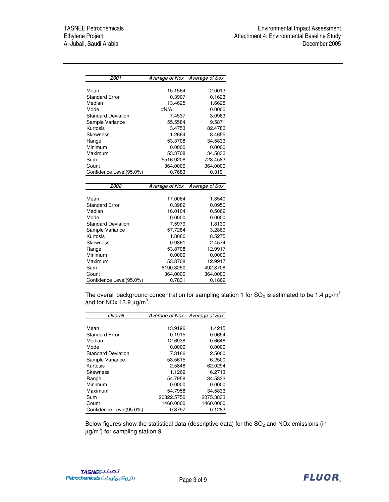| 2001                             | Average of Nox        | Average of Sox     |
|----------------------------------|-----------------------|--------------------|
|                                  |                       |                    |
| Mean                             | 15.1564               | 2.0013             |
| <b>Standard Error</b>            | 0.3907                | 0.1623             |
| Median                           | 13.4625               | 1.6625             |
| Mode                             | #N/A                  | 0.0000             |
| <b>Standard Deviation</b>        | 7.4537                | 3.0963             |
| Sample Variance                  | 55.5584               | 9.5871             |
| Kurtosis                         | 3.4753                | 82.4783            |
| <b>Skewness</b>                  | 1.2664                | 8.4655             |
| Range                            | 53.3708               | 34.5833            |
| Minimum                          | 0.0000                | 0.0000             |
| Maximum                          | 53.3708               | 34.5833            |
| Sum                              | 5516.9208             | 728.4583           |
| Count                            | 364.0000              | 364.0000           |
| Confidence Level(95.0%)          | 0.7683                | 0.3191             |
|                                  |                       |                    |
|                                  |                       |                    |
| 2002                             | <b>Average of Nox</b> | Average of Sox     |
|                                  |                       |                    |
| Mean                             | 17.0064               | 1.3540             |
| <b>Standard Error</b>            | 0.3982                | 0.0950             |
| Median                           | 16.0104               | 0.5062             |
| Mode                             | 0.0000                | 0.0000             |
| <b>Standard Deviation</b>        | 7.5979                | 1.8130             |
| Sample Variance                  | 57.7284               | 3.2869             |
| Kurtosis                         | 1.8086                | 8.5275             |
| <b>Skewness</b>                  | 0.9861                | 2.4574             |
| Range                            | 53.8708               | 12.9917            |
| Minimum                          | 0.0000                | 0.0000             |
| Maximum                          | 53.8708               | 12.9917            |
| Sum                              | 6190.3250             | 492.8708           |
| Count<br>Confidence Level(95.0%) | 364.0000<br>0.7831    | 364.0000<br>0.1869 |

The overall background concentration for sampling station 1 for SO<sub>2</sub> is estimated to be 1.4  $\mu$ g/m<sup>3</sup> and for NOx 13.9  $\mu$ g/m<sup>3</sup>.

| Overall                   | Average of Nox Average of Sox |           |
|---------------------------|-------------------------------|-----------|
|                           |                               |           |
| Mean                      | 13.9196                       | 1.4215    |
| <b>Standard Error</b>     | 0.1915                        | 0.0654    |
| Median                    | 12.6938                       | 0.6646    |
| Mode                      | 0.0000                        | 0.0000    |
| <b>Standard Deviation</b> | 7.3186                        | 2.5000    |
| Sample Variance           | 53.5615                       | 6.2500    |
| Kurtosis                  | 2.5848                        | 62.0294   |
| <b>Skewness</b>           | 1.1269                        | 6.2713    |
| Range                     | 54.7958                       | 34.5833   |
| Minimum                   | 0.0000                        | 0.0000    |
| Maximum                   | 54.7958                       | 34.5833   |
| Sum                       | 20322.5750                    | 2075.3833 |
| Count                     | 1460.0000                     | 1460.0000 |
| Confidence Level(95.0%)   | 0.3757                        | 0.1283    |

Below figures show the statistical data (descriptive data) for the  $SO<sub>2</sub>$  and NOx emissions (in  $\mu$ g/m $^3$ ) for sampling station 9.

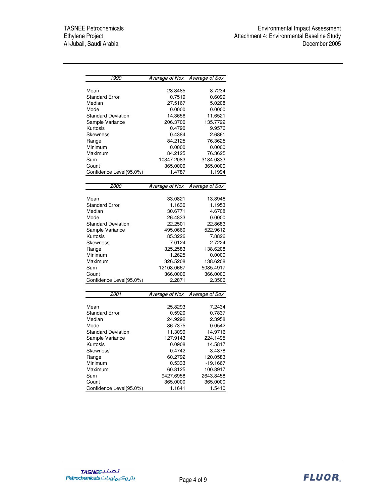| 1999                      | Average of Nox | <b>Average of Sox</b> |
|---------------------------|----------------|-----------------------|
|                           |                |                       |
| Mean                      | 28.3485        | 8.7234                |
| <b>Standard Error</b>     | 0.7519         | 0.6099                |
| Median                    | 27.5167        | 5.0208                |
| Mode                      | 0.0000         | 0.0000                |
| <b>Standard Deviation</b> | 14.3656        | 11.6521               |
| Sample Variance           | 206.3700       | 135.7722              |
| Kurtosis                  | 0.4790         | 9.9576                |
| Skewness                  | 0.4384         | 2.6861                |
| Range                     | 84.2125        | 76.3625               |
| Minimum                   | 0.0000         | 0.0000                |
| Maximum                   | 84.2125        | 76.3625               |
| Sum                       | 10347.2083     | 3184.0333             |
| Count                     | 365.0000       | 365.0000              |
| Confidence Level(95.0%)   | 1.4787         | 1.1994                |
|                           |                |                       |
| 2000                      | Average of Nox | Average of Sox        |
|                           |                |                       |
| Mean                      | 33.0821        | 13.8948               |
| <b>Standard Error</b>     | 1.1630         | 1.1953                |
| Median                    | 30.6771        | 4.6708                |
| Mode                      | 26.4833        | 0.0000                |
| <b>Standard Deviation</b> | 22.2501        | 22.8683               |
| Sample Variance           | 495.0660       | 522.9612              |
| Kurtosis                  | 85.3226        | 7.8826                |
|                           | 7.0124         | 2.7224                |
| Skewness                  |                |                       |
| Range                     | 325.2583       | 138.6208              |
| Minimum                   | 1.2625         | 0.0000                |
| Maximum                   | 326.5208       | 138.6208              |
| Sum                       | 12108.0667     | 5085.4917             |
| Count                     | 366.0000       | 366.0000              |
| Confidence Level(95.0%)   | 2.2871         | 2.3506                |
|                           |                |                       |
| 2001                      | Average of Nox | Average of Sox        |
|                           |                |                       |
| Mean                      | 25.8293        | 7.2434                |
| <b>Standard Error</b>     | 0.5920         | 0.7837                |
| Median                    | 24.9292        | 2.3958                |
| Mode                      | 36.7375        | 0.0542                |
| <b>Standard Deviation</b> | 11.3099        | 14.9716               |
| Sample Variance           | 127.9143       | 224.1495              |
| Kurtosis                  | 0.0908         | 14.5817               |
| Skewness                  | 0.4742         | 3.4378                |
| Range                     | 60.2792        | 120.0583              |
| Minimum                   | 0.5333         | $-19.1667$            |
| Maximum                   | 60.8125        | 100.8917              |
| Sum                       | 9427.6958      | 2643.8458             |
| Count                     | 365.0000       | 365.0000              |
| Confidence Level(95.0%)   | 1.1641         | 1.5410                |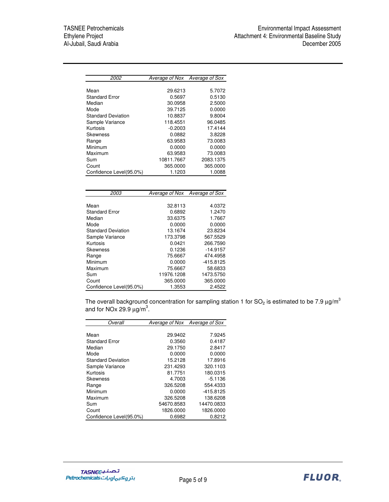| Average of Nox Average of Sox |
|-------------------------------|
|                               |
| 29.6213<br>5.7072             |
| 0.5697<br>0.5130              |
| 30.0958<br>2.5000             |
| 39.7125<br>0.0000             |
| 10.8837<br>9.8004             |
| 118.4551<br>96.0485           |
| 17.4144<br>$-0.2003$          |
| 0.0882<br>3.8228              |
| 63.9583<br>73.0083            |
| 0.0000<br>0.0000              |
| 73.0083<br>63.9583            |
| 10811.7667<br>2083.1375       |
| 365,0000<br>365.0000          |
| 1.1203<br>1.0088              |
|                               |
|                               |
|                               |

| 2003                      | Average of Nox Average of Sox |            |
|---------------------------|-------------------------------|------------|
|                           |                               |            |
| Mean                      | 32.8113                       | 4.0372     |
| <b>Standard Error</b>     | 0.6892                        | 1.2470     |
| Median                    | 33.6375                       | 1.7667     |
| Mode                      | 0.0000                        | 0.0000     |
| <b>Standard Deviation</b> | 13.1674                       | 23.8234    |
| Sample Variance           | 173.3798                      | 567.5529   |
| Kurtosis                  | 0.0421                        | 266,7590   |
| <b>Skewness</b>           | 0.1236                        | $-14.9157$ |
| Range                     | 75.6667                       | 474.4958   |
| Minimum                   | 0.0000                        | -415.8125  |
| Maximum                   | 75.6667                       | 58.6833    |
| Sum                       | 11976.1208                    | 1473.5750  |
| Count                     | 365.0000                      | 365.0000   |
| Confidence Level(95.0%)   | 1.3553                        | 2.4522     |

The overall background concentration for sampling station 1 for SO<sub>2</sub> is estimated to be 7.9  $\mu$ g/m $^3$ and for NOx 29.9  $\mu$ g/m $^3$ .

| Overall                   | Average of Nox Average of Sox |             |
|---------------------------|-------------------------------|-------------|
|                           |                               |             |
| Mean                      | 29.9402                       | 7.9245      |
| <b>Standard Error</b>     | 0.3560                        | 0.4187      |
| Median                    | 29.1750                       | 2.8417      |
| Mode                      | 0.0000                        | 0.0000      |
| <b>Standard Deviation</b> | 15.2128                       | 17.8916     |
| Sample Variance           | 231.4293                      | 320.1103    |
| Kurtosis                  | 81.7751                       | 180.0315    |
| Skewness                  | 4.7003                        | $-5.1136$   |
| Range                     | 326.5208                      | 554.4333    |
| Minimum                   | 0.0000                        | $-415.8125$ |
| Maximum                   | 326,5208                      | 138.6208    |
| Sum                       | 54670.8583                    | 14470.0833  |
| Count                     | 1826.0000                     | 1826.0000   |
| Confidence Level(95.0%)   | 0.6982                        | 0.8212      |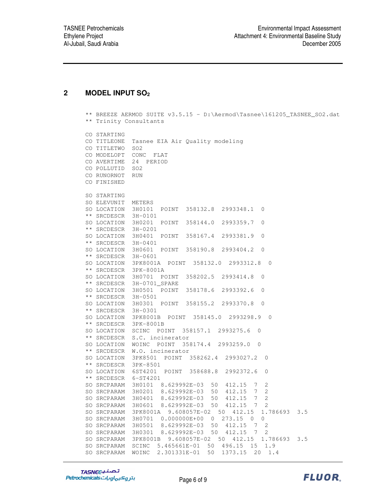### **2 MODEL INPUT SO<sup>2</sup>**

```
** BREEZE AERMOD SUITE v3.5.15 - D:\Aermod\Tasnee\161205_TASNEE_SO2.dat
** Trinity Consultants
CO STARTING
CO TITLEONE Tasnee EIA Air Quality modeling
CO TITLETWO SO2
CO MODELOPT CONC FLAT
CO AVERTIME 24 PERIOD
CO POLLUTID SO2
CO RUNORNOT RUN
CO FINISHED
SO STARTING
SO ELEVUNIT METERS
SO LOCATION 3H0101 POINT 358132.8 2993348.1 0
** SRCDESCR 3H-0101
SO LOCATION 3H0201 POINT 358144.0 2993359.7 0
** SRCDESCR 3H-0201
SO LOCATION 3H0401 POINT 358167.4 2993381.9 0
** SRCDESCR 3H-0401
SO LOCATION 3H0601 POINT 358190.8 2993404.2 0
** SRCDESCR 3H-0601
SO LOCATION 3PK8001A POINT 358132.0 2993312.8 0
** SRCDESCR 3PK-8001A
SO LOCATION 3H0701 POINT 358202.5 2993414.8 0
** SRCDESCR 3H-0701_SPARE
SO LOCATION 3H0501 POINT 358178.6 2993392.6 0
** SRCDESCR 3H-0501
SO LOCATION 3H0301 POINT 358155.2 2993370.8 0
** SRCDESCR 3H-0301
SO LOCATION 3PK8001B POINT 358145.0 2993298.9 0
** SRCDESCR 3PK-8001B
SO LOCATION SCINC POINT 358157.1 2993275.6 0
** SRCDESCR S.C. incinerator
SO LOCATION WOINC POINT 358174.4 2993259.0 0
** SRCDESCR W.O. incinerator
SO LOCATION 3PK8501 POINT 358262.4 2993027.2 0
** SRCDESCR 3PK-8501
SO LOCATION 6ST4201 POINT 358688.8 2992372.6 0
** SRCDESCR 6-ST4201
SO SRCPARAM 3H0101 8.629992E-03 50 412.15 7 2
SO SRCPARAM 3H0201 8.629992E-03 50 412.15 7 2
SO SRCPARAM 3H0401 8.629992E-03 50 412.15 7 2
SO SRCPARAM 3H0601 8.629992E-03 50 412.15 7 2
SO SRCPARAM 3PK8001A 9.608057E-02 50 412.15 1.786693 3.5
SO SRCPARAM 3H0701 0.000000E+00 0 273.15 0 0
SO SRCPARAM 3H0501 8.629992E-03 50 412.15 7 2
SO SRCPARAM 3H0301 8.629992E-03 50 412.15 7 2
SO SRCPARAM 3PK8001B 9.608057E-02 50 412.15 1.786693 3.5
SO SRCPARAM SCINC 5.465661E-01 50 496.15 15 1.9
SO SRCPARAM WOINC 2.301331E-01 50 1373.15 20 1.4
```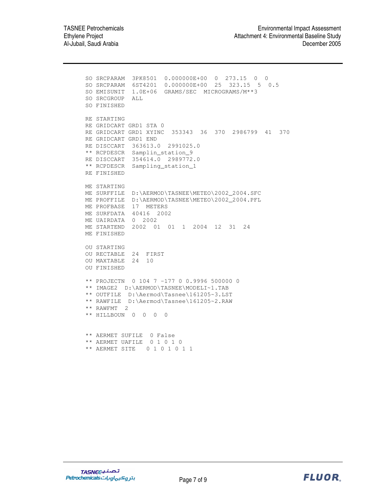SO SRCPARAM 3PK8501 0.000000E+00 0 273.15 0 0 SO SRCPARAM 6ST4201 0.000000E+00 25 323.15 5 0.5 SO EMISUNIT 1.0E+06 GRAMS/SEC MICROGRAMS/M\*\*3 SO SRCGROUP ALL SO FINISHED RE STARTING RE GRIDCART GRD1 STA 0 RE GRIDCART GRD1 XYINC 353343 36 370 2986799 41 370 RE GRIDCART GRD1 END RE DISCCART 363613.0 2991025.0 \*\* RCPDESCR Samplin\_station\_9 RE DISCCART 354614.0 2989772.0 \*\* RCPDESCR Sampling\_station\_1 RE FINISHED ME STARTING ME SURFFILE D:\AERMOD\TASNEE\METEO\2002\_2004.SFC ME PROFFILE D:\AERMOD\TASNEE\METEO\2002 2004.PFL ME PROFBASE 17 METERS ME SURFDATA 40416 2002 ME UAIRDATA 0 2002 ME STARTEND 2002 01 01 1 2004 12 31 24 ME FINISHED OU STARTING OU RECTABLE 24 FIRST OU MAXTABLE 24 10 OU FINISHED \*\* PROJECTN 0 104 7 -177 0 0.9996 500000 0 \*\* IMAGE2 D:\AERMOD\TASNEE\MODELI~1.TAB \*\* OUTFILE D:\Aermod\Tasnee\161205~3.LST \*\* RAWFILE D:\Aermod\Tasnee\161205~2.RAW \*\* RAWFMT 2 \*\* HILLBOUN 0 0 0 0 \*\* AERMET SUFILE 0 False \*\* AERMET UAFILE 0 1 0 1 0 \*\* AERMET SITE 0 1 0 1 0 1 1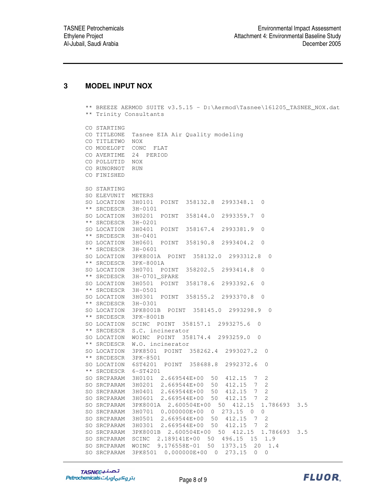#### **3 MODEL INPUT NOX**

|                        | ** BREEZE AERMOD SUITE v3.5.15 - D:\Aermod\Tasnee\161205_TASNEE_NOX.dat                   |
|------------------------|-------------------------------------------------------------------------------------------|
| ** Trinity Consultants |                                                                                           |
|                        |                                                                                           |
| CO STARTING            |                                                                                           |
| CO TITLEONE            | Tasnee EIA Air Quality modeling                                                           |
| CO TITLETWO            | NOX                                                                                       |
| CO MODELOPT            | CONC FLAT                                                                                 |
| CO AVERTIME            | 24 PERIOD                                                                                 |
| CO POLLUTID NOX        |                                                                                           |
| CO RUNORNOT            | RUN                                                                                       |
| CO FINISHED            |                                                                                           |
| SO STARTING            |                                                                                           |
| SO ELEVUNIT            | METERS                                                                                    |
|                        | SO LOCATION 3H0101 POINT 358132.8 2993348.1<br>0                                          |
| ** SRCDESCR 3H-0101    |                                                                                           |
|                        | SO LOCATION 3H0201 POINT 358144.0 2993359.7<br>$\circ$                                    |
| ** SRCDESCR 3H-0201    |                                                                                           |
|                        | SO LOCATION 3H0401 POINT 358167.4 2993381.9<br>0                                          |
| ** SRCDESCR 3H-0401    |                                                                                           |
|                        | $\circ$<br>SO LOCATION 3H0601 POINT 358190.8 2993404.2                                    |
| ** SRCDESCR 3H-0601    |                                                                                           |
|                        | SO LOCATION 3PK8001A POINT 358132.0 2993312.8<br>$\overline{0}$                           |
|                        | ** SRCDESCR 3PK-8001A                                                                     |
|                        | SO LOCATION 3H0701 POINT 358202.5 2993414.8<br>0                                          |
|                        | ** SRCDESCR 3H-0701_SPARE                                                                 |
|                        | SO LOCATION 3H0501 POINT 358178.6 2993392.6<br>$\circ$                                    |
| ** SRCDESCR 3H-0501    |                                                                                           |
|                        | SO LOCATION 3H0301 POINT 358155.2 2993370.8<br>$\circ$                                    |
| ** SRCDESCR 3H-0301    |                                                                                           |
|                        | SO LOCATION 3PK8001B POINT 358145.0 2993298.9<br>0                                        |
|                        | ** SRCDESCR 3PK-8001B                                                                     |
|                        | SO LOCATION SCINC POINT 358157.1 2993275.6<br>$\mathbf 0$<br>** SRCDESCR S.C. incinerator |
|                        | SO LOCATION WOINC POINT 358174.4 2993259.0<br>$\overline{0}$                              |
|                        | ** SRCDESCR W.O. incinerator                                                              |
| SO LOCATION            | $\mathbf 0$                                                                               |
| ** SRCDESCR            | 3PK-8501                                                                                  |
|                        | SO LOCATION 6ST4201 POINT 358688.8<br>2992372.6<br>0                                      |
| ** SRCDESCR 6-ST4201   |                                                                                           |
|                        | SO SRCPARAM 3H0101 2.669544E+00 50 412.15 7<br>2                                          |
|                        | SO SRCPARAM 3H0201 2.669544E+00<br>$\overline{2}$<br>50<br>412.15<br>$7\phantom{.0}$      |
| SO SRCPARAM            | 3H0401<br>2.669544E+00<br>412.15<br>50<br>7<br>2                                          |
| SO SRCPARAM            | 3H0601<br>2.669544E+00<br>50<br>412.15<br>2<br>$7\phantom{0}$                             |
| SO SRCPARAM            | 1.786693 3.5<br>3PK8001A<br>2.600504E+00<br>412.15<br>50                                  |
| SO SRCPARAM            | 273.15 0<br>3H0701 0.000000E+00<br>0<br>0                                                 |
| SO SRCPARAM            | 412.15<br>$\overline{c}$<br>3H0501 2.669544E+00<br>50<br>- 7                              |
| SO SRCPARAM            | 3H0301<br>2.669544E+00<br>50<br>412.15<br>2<br>$7\phantom{0}$                             |
| SO SRCPARAM            | 2.600504E+00<br>3PK8001B<br>50<br>412.15<br>1.786693<br>3.5                               |
| SO SRCPARAM            | 496.15<br>SCINC<br>2.189141E+00<br>15<br>1.9<br>50                                        |
| SO SRCPARAM            | 9.176558E-01<br>1373.15<br>20<br>1.4<br>WOINC<br>50                                       |
| SO SRCPARAM            | 3PK8501<br>$0.000000E + 00$<br>$\overline{0}$<br>273.15<br>0<br>0                         |